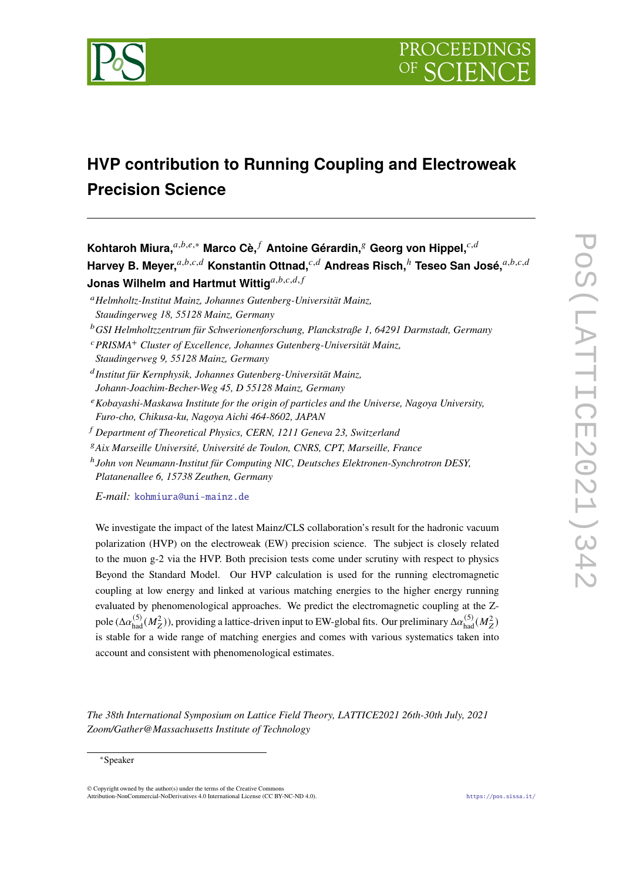

# **HVP contribution to Running Coupling and Electroweak Precision Science**

**Kohtaroh Miura,** $a,b,e,*$  Marco Cè, ∫ Antoine Gérardin, <sup>§</sup> Georg von Hippel,  $c,d$ Harvey B. Meyer,<sup>a,b,c,d</sup> Konstantin Ottnad,<sup>c,d</sup> Andreas Risch,<sup>h</sup> Teseo San José,<sup>a,b,c,d</sup> **Jonas Wilhelm and Hartmut Wittig** $a,b,c,d,f$ 

- <sup>𝑎</sup>*Helmholtz-Institut Mainz, Johannes Gutenberg-Universität Mainz, Staudingerweg 18, 55128 Mainz, Germany*
- <sup>𝑏</sup>*GSI Helmholtzzentrum für Schwerionenforschung, Planckstraße 1, 64291 Darmstadt, Germany*
- <sup>𝑐</sup>*PRISMA<sup>+</sup> Cluster of Excellence, Johannes Gutenberg-Universität Mainz,*
- *Staudingerweg 9, 55128 Mainz, Germany*

𝑑 *Institut für Kernphysik, Johannes Gutenberg-Universität Mainz, Johann-Joachim-Becher-Weg 45, D 55128 Mainz, Germany*

- <sup>𝑒</sup>*Kobayashi-Maskawa Institute for the origin of particles and the Universe, Nagoya University, Furo-cho, Chikusa-ku, Nagoya Aichi 464-8602, JAPAN*
- <sup>𝑓</sup> *Department of Theoretical Physics, CERN, 1211 Geneva 23, Switzerland*
- <sup>𝑔</sup>*Aix Marseille Université, Université de Toulon, CNRS, CPT, Marseille, France*

ℎ *John von Neumann-Institut für Computing NIC, Deutsches Elektronen-Synchrotron DESY, Platanenallee 6, 15738 Zeuthen, Germany*

*E-mail:* [kohmiura@uni-mainz.de](mailto:kohmiura@uni-mainz.de)

We investigate the impact of the latest Mainz/CLS collaboration's result for the hadronic vacuum polarization (HVP) on the electroweak (EW) precision science. The subject is closely related to the muon g-2 via the HVP. Both precision tests come under scrutiny with respect to physics Beyond the Standard Model. Our HVP calculation is used for the running electromagnetic coupling at low energy and linked at various matching energies to the higher energy running evaluated by phenomenological approaches. We predict the electromagnetic coupling at the Zpole ( $\Delta\alpha_{\rm had}^{(5)}(M_Z^2)$ ), providing a lattice-driven input to EW-global fits. Our preliminary  $\Delta\alpha_{\rm had}^{(5)}(M_Z^2)$ is stable for a wide range of matching energies and comes with various systematics taken into account and consistent with phenomenological estimates.

*The 38th International Symposium on Lattice Field Theory, LATTICE2021 26th-30th July, 2021 Zoom/Gather@Massachusetts Institute of Technology*

<sup>∗</sup>Speaker

<sup>©</sup> Copyright owned by the author(s) under the terms of the Creative Commons Attribution-NonCommercial-NoDerivatives 4.0 International License (CC BY-NC-ND 4.0). <https://pos.sissa.it/>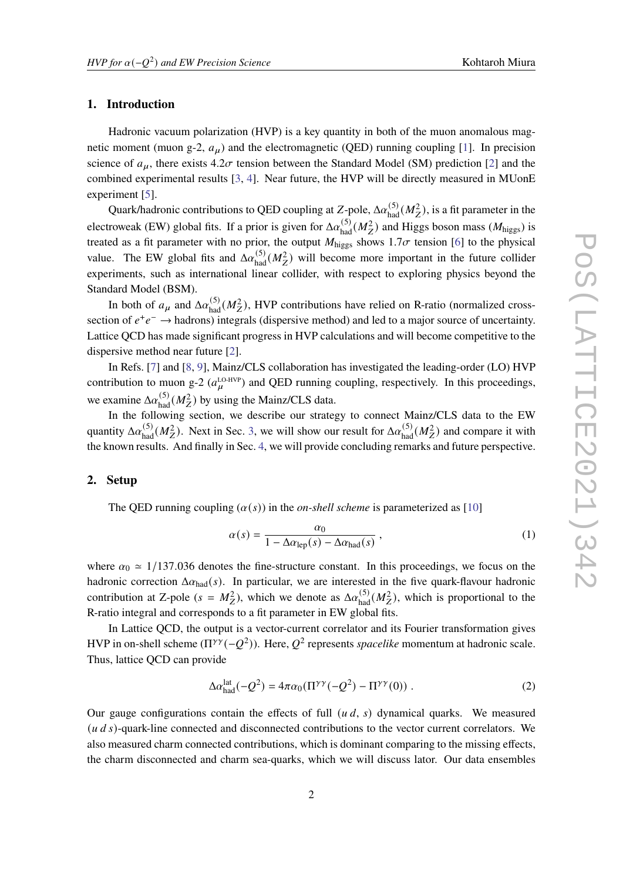#### **1. Introduction**

Hadronic vacuum polarization (HVP) is a key quantity in both of the muon anomalous magnetic moment (muon g-2,  $a_{\mu}$ ) and the electromagnetic (QED) running coupling [\[1\]](#page-6-0). In precision science of  $a_{\mu}$ , there exists 4.2 $\sigma$  tension between the Standard Model (SM) prediction [\[2\]](#page-6-1) and the combined experimental results [\[3,](#page-6-2) [4\]](#page-7-0). Near future, the HVP will be directly measured in MUonE experiment [\[5\]](#page-7-1).

Quark/hadronic contributions to QED coupling at Z-pole,  $\Delta \alpha_{had}^{(5)}(M_Z^2)$ , is a fit parameter in the electroweak (EW) global fits. If a prior is given for  $\Delta \alpha_{\rm had}^{(5)}(M_Z^2)$  and Higgs boson mass ( $M_{\rm higgs}$ ) is treated as a fit parameter with no prior, the output  $M_{\text{higgs}}$  shows 1.7 $\sigma$  tension [\[6\]](#page-7-2) to the physical value. The EW global fits and  $\Delta \alpha_{\text{had}}^{(5)}(M_Z^2)$  will become more important in the future collider experiments, such as international linear collider, with respect to exploring physics beyond the Standard Model (BSM).

In both of  $a_{\mu}$  and  $\Delta \alpha_{\text{had}}^{(5)}(M_Z^2)$ , HVP contributions have relied on R-ratio (normalized crosssection of  $e^+e^- \rightarrow$  hadrons) integrals (dispersive method) and led to a major source of uncertainty. Lattice QCD has made significant progress in HVP calculations and will become competitive to the dispersive method near future [\[2\]](#page-6-1).

In Refs. [\[7\]](#page-7-3) and [\[8,](#page-7-4) [9\]](#page-7-5), Mainz/CLS collaboration has investigated the leading-order (LO) HVP contribution to muon g-2 ( $a_{\mu}^{\text{LO-HVP}}$ ) and QED running coupling, respectively. In this proceedings, we examine  $\Delta \alpha_{\text{had}}^{(5)}(M_Z^2)$  by using the Mainz/CLS data.

In the following section, we describe our strategy to connect Mainz/CLS data to the EW quantity  $\Delta \alpha_{\text{had}}^{(5)}(M_Z^2)$ . Next in Sec. [3,](#page-4-0) we will show our result for  $\Delta \alpha_{\text{had}}^{(5)}(M_Z^2)$  and compare it with the known results. And finally in Sec. [4,](#page-6-3) we will provide concluding remarks and future perspective.

#### **2. Setup**

The QED running coupling  $(\alpha(s))$  in the *on-shell scheme* is parameterized as [\[10\]](#page-7-6)

$$
\alpha(s) = \frac{\alpha_0}{1 - \Delta \alpha_{\text{lep}}(s) - \Delta \alpha_{\text{had}}(s)},
$$
\n(1)

where  $\alpha_0 \approx 1/137.036$  denotes the fine-structure constant. In this proceedings, we focus on the hadronic correction  $\Delta \alpha_{\text{had}}(s)$ . In particular, we are interested in the five quark-flavour hadronic contribution at Z-pole ( $s = M_Z^2$ ), which we denote as  $\Delta \alpha_{\text{had}}^{(5)}(M_Z^2)$ , which is proportional to the R-ratio integral and corresponds to a fit parameter in EW global fits.

In Lattice QCD, the output is a vector-current correlator and its Fourier transformation gives HVP in on-shell scheme  $(\Pi^{\gamma\gamma}(-Q^2))$ . Here,  $Q^2$  represents *spacelike* momentum at hadronic scale. Thus, lattice QCD can provide

$$
\Delta \alpha_{\text{had}}^{\text{lat}}(-Q^2) = 4\pi \alpha_0 (\Pi^{\gamma \gamma}(-Q^2) - \Pi^{\gamma \gamma}(0)) \ . \tag{2}
$$

Our gauge configurations contain the effects of full  $(u, d, s)$  dynamical quarks. We measured  $( u d s)$ -quark-line connected and disconnected contributions to the vector current correlators. We also measured charm connected contributions, which is dominant comparing to the missing effects, the charm disconnected and charm sea-quarks, which we will discuss lator. Our data ensembles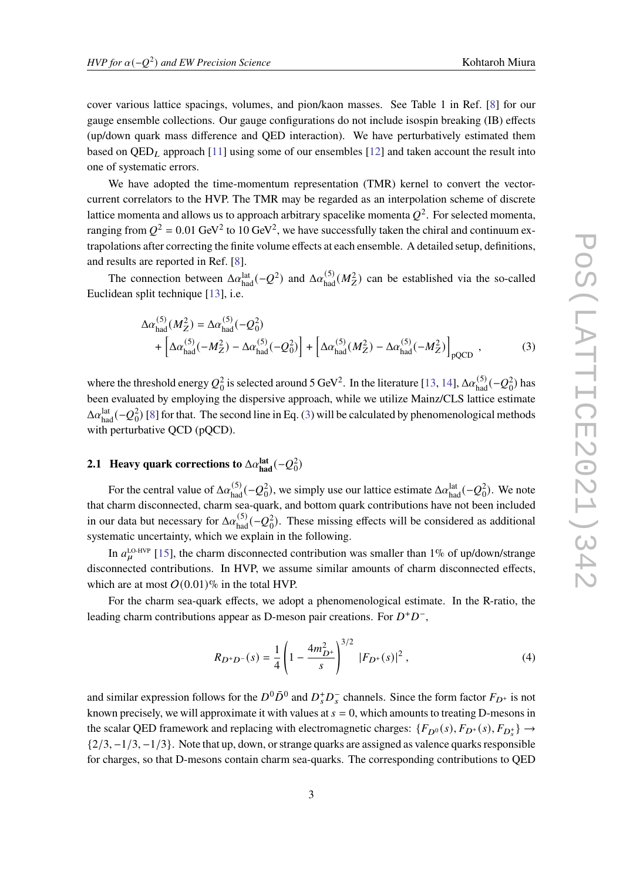<span id="page-2-0"></span>

cover various lattice spacings, volumes, and pion/kaon masses. See Table 1 in Ref. [\[8\]](#page-7-4) for our gauge ensemble collections. Our gauge configurations do not include isospin breaking (IB) effects (up/down quark mass difference and QED interaction). We have perturbatively estimated them based on  $QED<sub>L</sub>$  approach [\[11\]](#page-7-7) using some of our ensembles [\[12\]](#page-7-8) and taken account the result into one of systematic errors.

We have adopted the time-momentum representation (TMR) kernel to convert the vectorcurrent correlators to the HVP. The TMR may be regarded as an interpolation scheme of discrete lattice momenta and allows us to approach arbitrary spacelike momenta  $Q^2$ . For selected momenta, ranging from  $Q^2 = 0.01$  GeV<sup>2</sup> to 10 GeV<sup>2</sup>, we have successfully taken the chiral and continuum extrapolations after correcting the finite volume effects at each ensemble. A detailed setup, definitions, and results are reported in Ref. [\[8\]](#page-7-4).

The connection between  $\Delta a_{\text{had}}^{\text{lat}}(-Q^2)$  and  $\Delta a_{\text{had}}^{(5)}(M_Z^2)$  can be established via the so-called Euclidean split technique [\[13\]](#page-7-9), i.e.

$$
\Delta \alpha_{\text{had}}^{(5)}(M_Z^2) = \Delta \alpha_{\text{had}}^{(5)}(-Q_0^2) + \left[\Delta \alpha_{\text{had}}^{(5)}(-M_Z^2) - \Delta \alpha_{\text{had}}^{(5)}(-Q_0^2)\right] + \left[\Delta \alpha_{\text{had}}^{(5)}(M_Z^2) - \Delta \alpha_{\text{had}}^{(5)}(-M_Z^2)\right]_{\text{pQCD}},
$$
\n(3)

where the threshold energy  $Q_0^2$  is selected around 5 GeV<sup>2</sup>. In the literature [\[13,](#page-7-9) [14\]](#page-7-10),  $\Delta\alpha_{\rm had}^{(5)}(-Q_0^2)$  has been evaluated by employing the dispersive approach, while we utilize Mainz/CLS lattice estimate  $\Delta\alpha_{\rm had}^{\rm lat}$  (− $Q_0^2$ ) [\[8\]](#page-7-4) for that. The second line in Eq. [\(3\)](#page-2-0) will be calculated by phenomenological methods with perturbative QCD (pQCD).

## **2.1** Heavy quark corrections to  $\Delta \alpha_{\text{had}}^{\text{lat}}(-Q_0^2)$

For the central value of  $\Delta \alpha_{\text{had}}^{(5)}(-Q_0^2)$ , we simply use our lattice estimate  $\Delta \alpha_{\text{had}}^{\text{lat}}(-Q_0^2)$ . We note that charm disconnected, charm sea-quark, and bottom quark contributions have not been included in our data but necessary for  $\Delta \alpha_{had}^{(5)}(-Q_0^2)$ . These missing effects will be considered as additional systematic uncertainty, which we explain in the following.

In  $a_{\mu}^{\text{LO-HVP}}$  [\[15\]](#page-7-11), the charm disconnected contribution was smaller than 1% of up/down/strange disconnected contributions. In HVP, we assume similar amounts of charm disconnected effects, which are at most  $O(0.01)$ % in the total HVP.

For the charm sea-quark effects, we adopt a phenomenological estimate. In the R-ratio, the leading charm contributions appear as D-meson pair creations. For  $D^+D^-$ ,

$$
R_{D^{+}D^{-}}(s) = \frac{1}{4} \left( 1 - \frac{4m_{D^{+}}^{2}}{s} \right)^{3/2} |F_{D^{+}}(s)|^{2}, \tag{4}
$$

and similar expression follows for the  $D^0\bar{D}^0$  and  $D_s^{\dagger}D_s^-$  channels. Since the form factor  $F_{D^+}$  is not known precisely, we will approximate it with values at  $s = 0$ , which amounts to treating D-mesons in the scalar QED framework and replacing with electromagnetic charges:  $\{F_{D^0}(s), F_{D^+}(s), F_{D_s^+}\}\rightarrow$  $\{2/3, -1/3, -1/3\}$ . Note that up, down, or strange quarks are assigned as valence quarks responsible for charges, so that D-mesons contain charm sea-quarks. The corresponding contributions to QED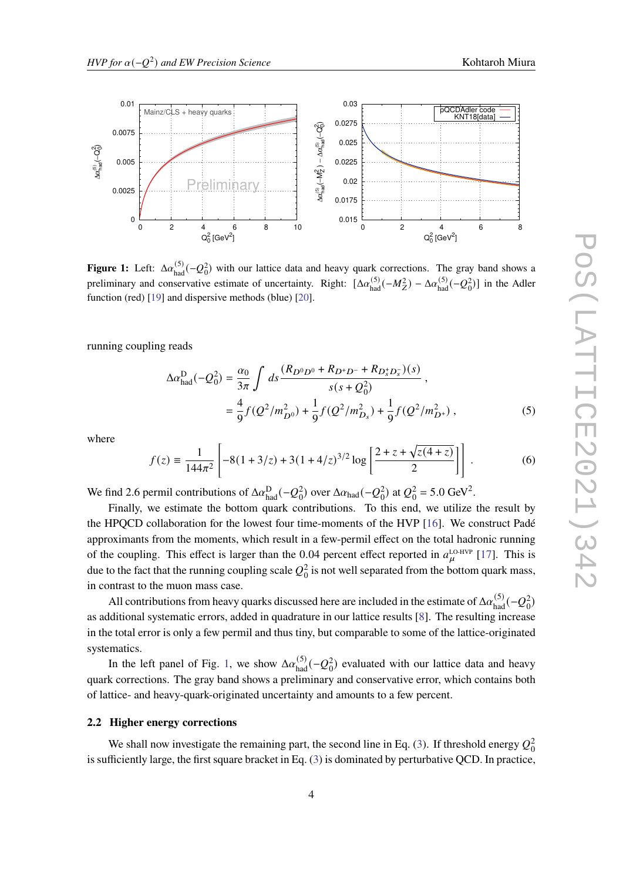<span id="page-3-0"></span>

**Figure 1:** Left:  $\Delta \alpha_{\text{had}}^{(5)}(-Q_0^2)$  with our lattice data and heavy quark corrections. The gray band shows a preliminary and conservative estimate of uncertainty. Right:  $[\Delta \alpha_{had}^{(5)}(-M_Z^2) - \Delta \alpha_{had}^{(5)}(-Q_0^2)]$  in the Adler function (red) [\[19\]](#page-8-0) and dispersive methods (blue) [\[20\]](#page-8-1).

running coupling reads

$$
\Delta \alpha_{\text{had}}^D (-Q_0^2) = \frac{\alpha_0}{3\pi} \int ds \frac{(R_{D^0 D^0} + R_{D^+ D^-} + R_{D_s^+ D_s^-})(s)}{s(s + Q_0^2)} ,
$$
  
=  $\frac{4}{9} f(Q^2/m_{D^0}^2) + \frac{1}{9} f(Q^2/m_{D_s}^2) + \frac{1}{9} f(Q^2/m_{D^+}^2) ,$  (5)

where

$$
f(z) = \frac{1}{144\pi^2} \left[ -8(1+3/z) + 3(1+4/z)^{3/2} \log \left[ \frac{2+z+\sqrt{z(4+z)}}{2} \right] \right].
$$
 (6)

We find 2.6 permil contributions of  $\Delta \alpha_{\text{had}}^D(-Q_0^2)$  over  $\Delta \alpha_{\text{had}}(-Q_0^2)$  at  $Q_0^2 = 5.0 \text{ GeV}^2$ .

Finally, we estimate the bottom quark contributions. To this end, we utilize the result by the HPQCD collaboration for the lowest four time-moments of the HVP [\[16\]](#page-7-12). We construct Padé approximants from the moments, which result in a few-permil effect on the total hadronic running of the coupling. This effect is larger than the 0.04 percent effect reported in  $a_{\mu}^{\text{LO-HVP}}$  [\[17\]](#page-7-13). This is due to the fact that the running coupling scale  $Q_0^2$  is not well separated from the bottom quark mass, in contrast to the muon mass case.

All contributions from heavy quarks discussed here are included in the estimate of  $\Delta \alpha_{\rm had}^{(5)}(-Q_0^2)$ as additional systematic errors, added in quadrature in our lattice results [\[8\]](#page-7-4). The resulting increase in the total error is only a few permil and thus tiny, but comparable to some of the lattice-originated systematics.

In the left panel of Fig. [1,](#page-3-0) we show  $\Delta \alpha_{\text{had}}^{(5)}(-Q_0^2)$  evaluated with our lattice data and heavy quark corrections. The gray band shows a preliminary and conservative error, which contains both of lattice- and heavy-quark-originated uncertainty and amounts to a few percent.

#### **2.2 Higher energy corrections**

We shall now investigate the remaining part, the second line in Eq. [\(3\)](#page-2-0). If threshold energy  $Q_0^2$ is sufficiently large, the first square bracket in Eq. [\(3\)](#page-2-0) is dominated by perturbative QCD. In practice,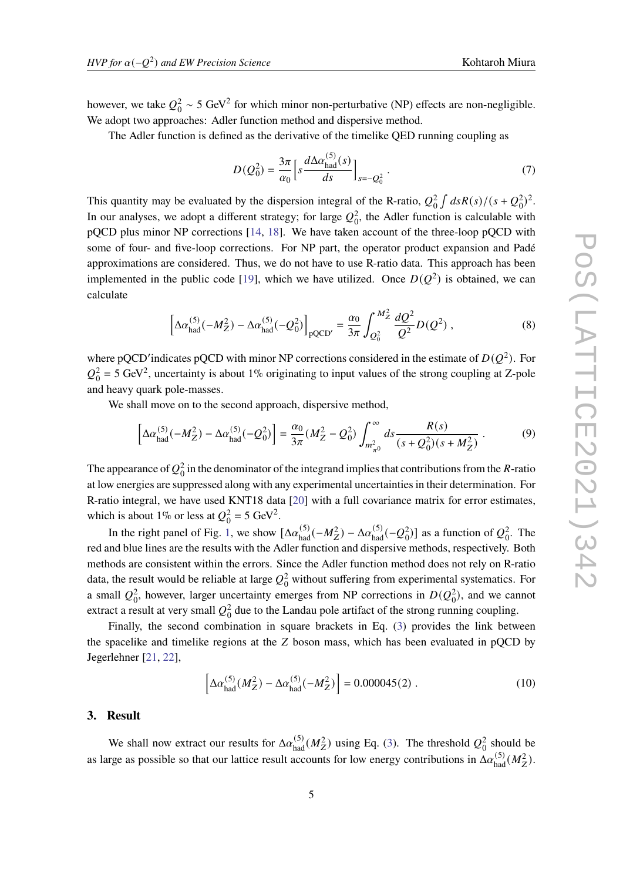however, we take  $Q_0^2 \sim 5 \text{ GeV}^2$  for which minor non-perturbative (NP) effects are non-negligible. We adopt two approaches: Adler function method and dispersive method.

The Adler function is defined as the derivative of the timelike QED running coupling as

$$
D(Q_0^2) = \frac{3\pi}{\alpha_0} \left[ s \frac{d\Delta \alpha_{\text{had}}^{(5)}(s)}{ds} \right]_{s=-Q_0^2} . \tag{7}
$$

This quantity may be evaluated by the dispersion integral of the R-ratio,  $Q_0^2 \int ds R(s)/(s+Q_0^2)^2$ . In our analyses, we adopt a different strategy; for large  $Q_0^2$ , the Adler function is calculable with pQCD plus minor NP corrections [\[14,](#page-7-10) [18\]](#page-7-14). We have taken account of the three-loop pQCD with some of four- and five-loop corrections. For NP part, the operator product expansion and Padé approximations are considered. Thus, we do not have to use R-ratio data. This approach has been implemented in the public code [\[19\]](#page-8-0), which we have utilized. Once  $D(Q^2)$  is obtained, we can calculate

$$
\left[\Delta \alpha_{\text{had}}^{(5)}(-M_Z^2) - \Delta \alpha_{\text{had}}^{(5)}(-Q_0^2)\right]_{\text{pQCD}'} = \frac{\alpha_0}{3\pi} \int_{Q_0^2}^{M_Z^2} \frac{dQ^2}{Q^2} D(Q^2) ,\qquad (8)
$$

where pQCD'indicates pQCD with minor NP corrections considered in the estimate of  $D(Q^2)$ . For  $Q_0^2$  = 5 GeV<sup>2</sup>, uncertainty is about 1% originating to input values of the strong coupling at Z-pole and heavy quark pole-masses.

We shall move on to the second approach, dispersive method,

$$
\[ \Delta \alpha_{\text{had}}^{(5)}(-M_Z^2) - \Delta \alpha_{\text{had}}^{(5)}(-Q_0^2) \] = \frac{\alpha_0}{3\pi} (M_Z^2 - Q_0^2) \int_{m_{\pi_0}^2}^{\infty} ds \frac{R(s)}{(s + Q_0^2)(s + M_Z^2)} \,. \tag{9}
$$

The appearance of  $Q_0^2$  in the denominator of the integrand implies that contributions from the R-ratio at low energies are suppressed along with any experimental uncertainties in their determination. For R-ratio integral, we have used KNT18 data [\[20\]](#page-8-1) with a full covariance matrix for error estimates, which is about 1% or less at  $Q_0^2 = 5 \text{ GeV}^2$ .

In the right panel of Fig. [1,](#page-3-0) we show  $[\Delta \alpha_{had}^{(5)}(-M_Z^2) - \Delta \alpha_{had}^{(5)}(-Q_0^2)]$  as a function of  $Q_0^2$ . The red and blue lines are the results with the Adler function and dispersive methods, respectively. Both methods are consistent within the errors. Since the Adler function method does not rely on R-ratio data, the result would be reliable at large  $Q_0^2$  without suffering from experimental systematics. For a small  $Q_0^2$ , however, larger uncertainty emerges from NP corrections in  $D(Q_0^2)$ , and we cannot extract a result at very small  $Q_0^2$  due to the Landau pole artifact of the strong running coupling.

Finally, the second combination in square brackets in Eq. [\(3\)](#page-2-0) provides the link between the spacelike and timelike regions at the  $Z$  boson mass, which has been evaluated in pQCD by Jegerlehner [\[21,](#page-8-2) [22\]](#page-8-3),

$$
\left[\Delta \alpha_{\text{had}}^{(5)}(M_Z^2) - \Delta \alpha_{\text{had}}^{(5)}(-M_Z^2)\right] = 0.000045(2) . \tag{10}
$$

#### <span id="page-4-0"></span>**3. Result**

We shall now extract our results for  $\Delta \alpha_{\text{had}}^{(5)}(M_Z^2)$  using Eq. [\(3\)](#page-2-0). The threshold  $Q_0^2$  should be as large as possible so that our lattice result accounts for low energy contributions in  $\Delta \alpha_{\rm had}^{(5)}(M_Z^2)$ .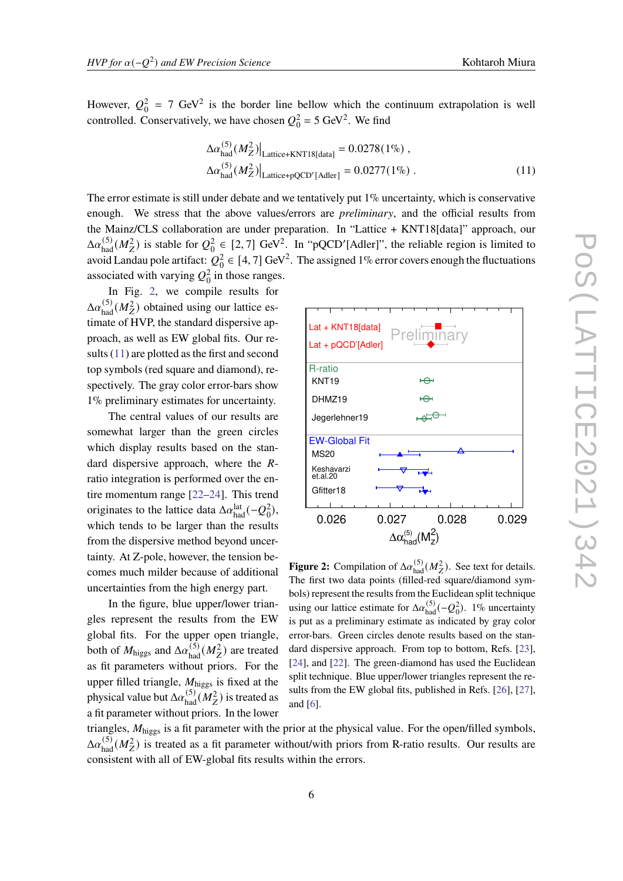<span id="page-5-1"></span>

However,  $Q_0^2 = 7$  GeV<sup>2</sup> is the border line bellow which the continuum extrapolation is well controlled. Conservatively, we have chosen  $Q_0^2 = 5 \text{ GeV}^2$ . We find

$$
\Delta \alpha_{\text{had}}^{(5)} (M_Z^2)|_{\text{Lattice+KNT18[data]}} = 0.0278(1\%) ,
$$
  
\n
$$
\Delta \alpha_{\text{had}}^{(5)} (M_Z^2)|_{\text{Lattice+pQCD'[Adler]}} = 0.0277(1\%) .
$$
 (11)

The error estimate is still under debate and we tentatively put  $1\%$  uncertainty, which is conservative enough. We stress that the above values/errors are *preliminary*, and the official results from the Mainz/CLS collaboration are under preparation. In "Lattice + KNT18[data]" approach, our  $\Delta a_{\text{had}}^{(5)}(M_Z^2)$  is stable for  $Q_0^2 \in [2, 7]$  GeV<sup>2</sup>. In "pQCD'[Adler]", the reliable region is limited to avoid Landau pole artifact:  $Q_0^2 \in [4, 7]$  GeV<sup>2</sup>. The assigned 1% error covers enough the fluctuations associated with varying  $Q_0^2$  in those ranges.

In Fig. [2,](#page-5-0) we compile results for  $\Delta \alpha_{\text{had}}^{(5)}(M_Z^2)$  obtained using our lattice estimate of HVP, the standard dispersive approach, as well as EW global fits. Our results [\(11\)](#page-5-1) are plotted as the first and second top symbols (red square and diamond), respectively. The gray color error-bars show 1% preliminary estimates for uncertainty.

The central values of our results are somewhat larger than the green circles which display results based on the standard dispersive approach, where the  $R$ ratio integration is performed over the entire momentum range [\[22–](#page-8-3)[24\]](#page-8-5). This trend originates to the lattice data  $\Delta \alpha_{\rm had}^{\rm lat}(-Q_0^2)$ , which tends to be larger than the results from the dispersive method beyond uncertainty. At Z-pole, however, the tension becomes much milder because of additional uncertainties from the high energy part.

In the figure, blue upper/lower triangles represent the results from the EW global fits. For the upper open triangle, both of  $M_{\text{higgs}}$  and  $\Delta \alpha_{\text{had}}^{(5)}(M_Z^2)$  are treated as fit parameters without priors. For the upper filled triangle,  $M_{\text{higgs}}$  is fixed at the physical value but  $\Delta \alpha_{\rm had}^{(5)}(\overline{M_Z^2})$  is treated as a fit parameter without priors. In the lower

 0.026 0.027 0.028 0.029  $\Delta \alpha^{(5)}_{\text{had}} (\text{M}_\text{Z}^2)$ **Figure 2:** Compilation of  $\Delta \alpha_{\text{had}}^{(5)}(M_Z^2)$ . See text for details. The first two data points (filled-red square/diamond symbols) represent the results from the Euclidean split technique using our lattice estimate for  $\Delta a_{\text{had}}^{(5)}(-Q_0^2)$ . 1% uncertainty is put as a preliminary estimate as indicated by gray color error-bars. Green circles denote results based on the standard dispersive approach. From top to bottom, Refs. [\[23\]](#page-8-4), [\[24\]](#page-8-5), and [\[22\]](#page-8-3). The green-diamond has used the Euclidean

split technique. Blue upper/lower triangles represent the results from the EW global fits, published in Refs. [\[26\]](#page-8-6), [\[27\]](#page-8-7),

triangles,  $M_{\text{higgs}}$  is a fit parameter with the prior at the physical value. For the open/filled symbols,  $\Delta \alpha_{\text{had}}^{(5)}(M_Z^2)$  is treated as a fit parameter without/with priors from R-ratio results. Our results are consistent with all of EW-global fits results within the errors.

and [\[6\]](#page-7-2).

<span id="page-5-0"></span>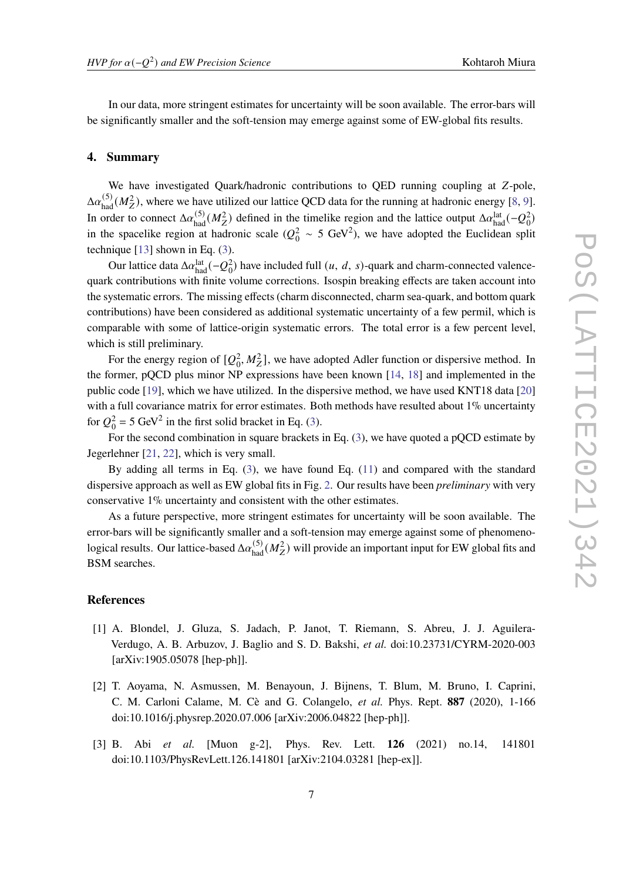In our data, more stringent estimates for uncertainty will be soon available. The error-bars will be significantly smaller and the soft-tension may emerge against some of EW-global fits results.

#### <span id="page-6-3"></span>**4. Summary**

We have investigated Quark/hadronic contributions to QED running coupling at Z-pole,  $\Delta a_{\text{had}}^{(5)}(M_Z^2)$ , where we have utilized our lattice QCD data for the running at hadronic energy [\[8,](#page-7-4) [9\]](#page-7-5). In order to connect  $\Delta a_{had}^{(5)}(M_Z^2)$  defined in the timelike region and the lattice output  $\Delta a_{had}^{lat}(-Q_0^2)$ in the spacelike region at hadronic scale ( $Q_0^2 \sim 5 \text{ GeV}^2$ ), we have adopted the Euclidean split technique  $[13]$  shown in Eq.  $(3)$ .

Our lattice data  $\Delta \alpha_{\text{had}}^{\text{lat}}(-Q_0^2)$  have included full  $(u, d, s)$ -quark and charm-connected valencequark contributions with finite volume corrections. Isospin breaking effects are taken account into the systematic errors. The missing effects (charm disconnected, charm sea-quark, and bottom quark contributions) have been considered as additional systematic uncertainty of a few permil, which is comparable with some of lattice-origin systematic errors. The total error is a few percent level, which is still preliminary.

For the energy region of  $[Q_0^2, M_Z^2]$ , we have adopted Adler function or dispersive method. In the former, pQCD plus minor NP expressions have been known [\[14,](#page-7-10) [18\]](#page-7-14) and implemented in the public code [\[19\]](#page-8-0), which we have utilized. In the dispersive method, we have used KNT18 data [\[20\]](#page-8-1) with a full covariance matrix for error estimates. Both methods have resulted about 1% uncertainty for  $Q_0^2 = 5 \text{ GeV}^2$  in the first solid bracket in Eq. [\(3\)](#page-2-0).

For the second combination in square brackets in Eq. [\(3\)](#page-2-0), we have quoted a pQCD estimate by Jegerlehner [\[21,](#page-8-2) [22\]](#page-8-3), which is very small.

By adding all terms in Eq. [\(3\)](#page-2-0), we have found Eq. [\(11\)](#page-5-1) and compared with the standard dispersive approach as well as EW global fits in Fig. [2.](#page-5-0) Our results have been *preliminary* with very conservative 1% uncertainty and consistent with the other estimates.

As a future perspective, more stringent estimates for uncertainty will be soon available. The error-bars will be significantly smaller and a soft-tension may emerge against some of phenomenological results. Our lattice-based  $\Delta \alpha_{\rm had}^{(5)}(M_Z^2)$  will provide an important input for EW global fits and BSM searches.

### **References**

- <span id="page-6-0"></span>[1] A. Blondel, J. Gluza, S. Jadach, P. Janot, T. Riemann, S. Abreu, J. J. Aguilera-Verdugo, A. B. Arbuzov, J. Baglio and S. D. Bakshi, *et al.* doi:10.23731/CYRM-2020-003 [arXiv:1905.05078 [hep-ph]].
- <span id="page-6-1"></span>[2] T. Aoyama, N. Asmussen, M. Benayoun, J. Bijnens, T. Blum, M. Bruno, I. Caprini, C. M. Carloni Calame, M. Cè and G. Colangelo, *et al.* Phys. Rept. **887** (2020), 1-166 doi:10.1016/j.physrep.2020.07.006 [arXiv:2006.04822 [hep-ph]].
- <span id="page-6-2"></span>[3] B. Abi *et al.* [Muon g-2], Phys. Rev. Lett. **126** (2021) no.14, 141801 doi:10.1103/PhysRevLett.126.141801 [arXiv:2104.03281 [hep-ex]].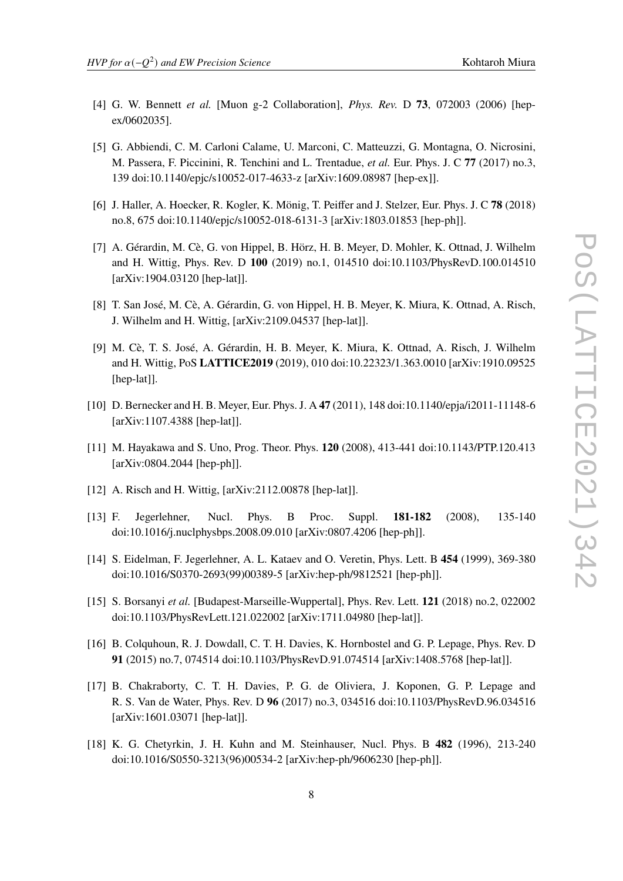- <span id="page-7-0"></span>[4] G. W. Bennett *et al.* [Muon g-2 Collaboration], *Phys. Rev.* D **73**, 072003 (2006) [hepex/0602035].
- <span id="page-7-1"></span>[5] G. Abbiendi, C. M. Carloni Calame, U. Marconi, C. Matteuzzi, G. Montagna, O. Nicrosini, M. Passera, F. Piccinini, R. Tenchini and L. Trentadue, *et al.* Eur. Phys. J. C **77** (2017) no.3, 139 doi:10.1140/epjc/s10052-017-4633-z [arXiv:1609.08987 [hep-ex]].
- <span id="page-7-2"></span>[6] J. Haller, A. Hoecker, R. Kogler, K. Mönig, T. Peiffer and J. Stelzer, Eur. Phys. J. C **78** (2018) no.8, 675 doi:10.1140/epjc/s10052-018-6131-3 [arXiv:1803.01853 [hep-ph]].
- <span id="page-7-3"></span>[7] A. Gérardin, M. Cè, G. von Hippel, B. Hörz, H. B. Meyer, D. Mohler, K. Ottnad, J. Wilhelm and H. Wittig, Phys. Rev. D **100** (2019) no.1, 014510 doi:10.1103/PhysRevD.100.014510 [arXiv:1904.03120 [hep-lat]].
- <span id="page-7-4"></span>[8] T. San José, M. Cè, A. Gérardin, G. von Hippel, H. B. Meyer, K. Miura, K. Ottnad, A. Risch, J. Wilhelm and H. Wittig, [arXiv:2109.04537 [hep-lat]].
- <span id="page-7-5"></span>[9] M. Cè, T. S. José, A. Gérardin, H. B. Meyer, K. Miura, K. Ottnad, A. Risch, J. Wilhelm and H. Wittig, PoS **LATTICE2019** (2019), 010 doi:10.22323/1.363.0010 [arXiv:1910.09525 [hep-lat]].
- <span id="page-7-6"></span>[10] D. Bernecker and H. B. Meyer, Eur. Phys. J. A **47** (2011), 148 doi:10.1140/epja/i2011-11148-6 [arXiv:1107.4388 [hep-lat]].
- <span id="page-7-7"></span>[11] M. Hayakawa and S. Uno, Prog. Theor. Phys. **120** (2008), 413-441 doi:10.1143/PTP.120.413 [arXiv:0804.2044 [hep-ph]].
- <span id="page-7-8"></span>[12] A. Risch and H. Wittig, [arXiv:2112.00878 [hep-lat]].
- <span id="page-7-9"></span>[13] F. Jegerlehner, Nucl. Phys. B Proc. Suppl. **181-182** (2008), 135-140 doi:10.1016/j.nuclphysbps.2008.09.010 [arXiv:0807.4206 [hep-ph]].
- <span id="page-7-10"></span>[14] S. Eidelman, F. Jegerlehner, A. L. Kataev and O. Veretin, Phys. Lett. B **454** (1999), 369-380 doi:10.1016/S0370-2693(99)00389-5 [arXiv:hep-ph/9812521 [hep-ph]].
- <span id="page-7-11"></span>[15] S. Borsanyi *et al.* [Budapest-Marseille-Wuppertal], Phys. Rev. Lett. **121** (2018) no.2, 022002 doi:10.1103/PhysRevLett.121.022002 [arXiv:1711.04980 [hep-lat]].
- <span id="page-7-12"></span>[16] B. Colquhoun, R. J. Dowdall, C. T. H. Davies, K. Hornbostel and G. P. Lepage, Phys. Rev. D **91** (2015) no.7, 074514 doi:10.1103/PhysRevD.91.074514 [arXiv:1408.5768 [hep-lat]].
- <span id="page-7-13"></span>[17] B. Chakraborty, C. T. H. Davies, P. G. de Oliviera, J. Koponen, G. P. Lepage and R. S. Van de Water, Phys. Rev. D **96** (2017) no.3, 034516 doi:10.1103/PhysRevD.96.034516 [arXiv:1601.03071 [hep-lat]].
- <span id="page-7-14"></span>[18] K. G. Chetyrkin, J. H. Kuhn and M. Steinhauser, Nucl. Phys. B **482** (1996), 213-240 doi:10.1016/S0550-3213(96)00534-2 [arXiv:hep-ph/9606230 [hep-ph]].